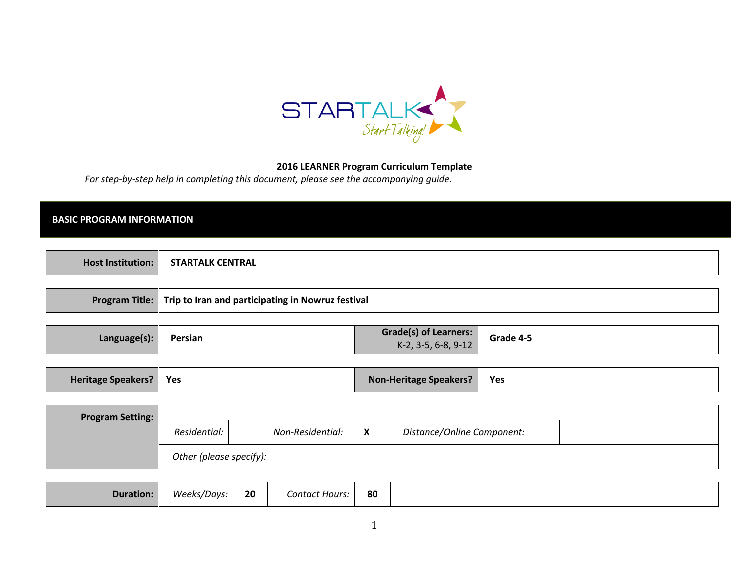

### 2016 LEARNER Program Curriculum Template

For step-by-step help in completing this document, please see the accompanying guide.

## BASIC PROGRAM INFORMATION

|  | нос<br>uns.<br>stitution. | $- - -$<br><b>CENTRAL</b><br>$\mathbf{A}$ is a set of $\mathbf{A}$ is a set of $\mathbf{A}$<br>I ALK |  |
|--|---------------------------|------------------------------------------------------------------------------------------------------|--|
|--|---------------------------|------------------------------------------------------------------------------------------------------|--|

|  | Program Title: Trip to Iran and participating in Nowruz festival |
|--|------------------------------------------------------------------|
|--|------------------------------------------------------------------|

| Grade(s) of Learners:<br>Grade 4-5<br>Persian<br>Language(s)*<br>K-2, 3-5, 6-8, 9-12 |
|--------------------------------------------------------------------------------------|
|--------------------------------------------------------------------------------------|

| Heritage Speakers?   Yes |  | Non-Heritage Speakers? | Yes |
|--------------------------|--|------------------------|-----|
|--------------------------|--|------------------------|-----|

| <b>Program Setting:</b> |              |                  |   |                            |  |  |
|-------------------------|--------------|------------------|---|----------------------------|--|--|
|                         | Residential: | Non-Residential: | X | Distance/Online Component: |  |  |
| Other (please specify): |              |                  |   |                            |  |  |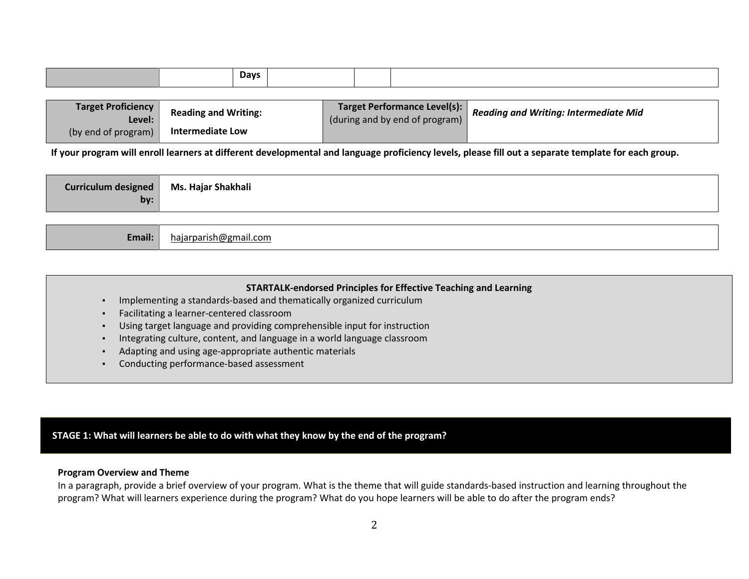| <b>Days</b> |
|-------------|
|-------------|

| <b>Target Proficiency</b><br>Level: | <b>Reading and Writing:</b> | Target Performance Level(s):<br>(during and by end of program) | <b>Reading and Writing: Intermediate Mid</b> |
|-------------------------------------|-----------------------------|----------------------------------------------------------------|----------------------------------------------|
| (by end of program) $\vert$         | <b>Intermediate Low</b>     |                                                                |                                              |

If your program will enroll learners at different developmental and language proficiency levels, please fill out a separate template for each group.

| Ms. Hajar Shakhali<br><b>Curriculum designed</b> |  |
|--------------------------------------------------|--|
| by:                                              |  |

| Email: | hajarparish@gmail.com |
|--------|-----------------------|
|--------|-----------------------|

| <b>STARTALK-endorsed Principles for Effective Teaching and Learning</b>                                                                                                                                                        |
|--------------------------------------------------------------------------------------------------------------------------------------------------------------------------------------------------------------------------------|
| Implementing a standards-based and thematically organized curriculum                                                                                                                                                           |
| Facilitating a learner-centered classroom                                                                                                                                                                                      |
| Using target language and providing comprehensible input for instruction                                                                                                                                                       |
| Integrating culture, content, and language in a world language classroom                                                                                                                                                       |
| Adapting and using age-appropriate authentic materials                                                                                                                                                                         |
| A condition to a condition of a condition of the condition of the condition of the condition of the condition of the condition of the condition of the condition of the condition of the condition of the condition of the con |

▪Conducting performance-based assessment

# STAGE 1: What will learners be able to do with what they know by the end of the program?

#### Program Overview and Theme

 In a paragraph, provide a brief overview of your program. What is the theme that will guide standards-based instruction and learning throughout the program? What will learners experience during the program? What do you hope learners will be able to do after the program ends?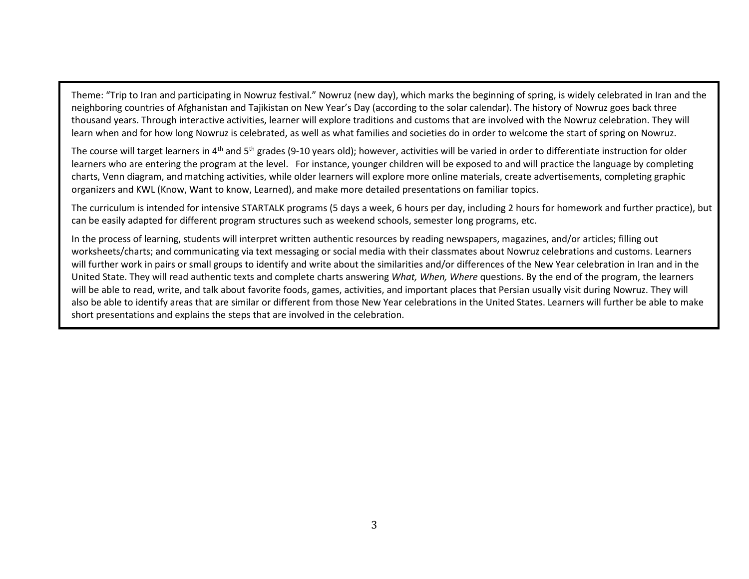Theme: "Trip to Iran and participating in Nowruz festival." Nowruz (new day), which marks the beginning of spring, is widely celebrated in Iran and the neighboring countries of Afghanistan and Tajikistan on New Year's Day (according to the solar calendar). The history of Nowruz goes back three thousand years. Through interactive activities, learner will explore traditions and customs that are involved with the Nowruz celebration. They will learn when and for how long Nowruz is celebrated, as well as what families and societies do in order to welcome the start of spring on Nowruz.

The course will target learners in  $4<sup>th</sup>$  and  $5<sup>th</sup>$  grades (9-10 years old); however, activities will be varied in order to differentiate instruction for older learners who are entering the program at the level. For instance, younger children will be exposed to and will practice the language by completing charts, Venn diagram, and matching activities, while older learners will explore more online materials, create advertisements, completing graphic organizers and KWL (Know, Want to know, Learned), and make more detailed presentations on familiar topics.

The curriculum is intended for intensive STARTALK programs (5 days a week, 6 hours per day, including 2 hours for homework and further practice), but can be easily adapted for different program structures such as weekend schools, semester long programs, etc.

In the process of learning, students will interpret written authentic resources by reading newspapers, magazines, and/or articles; filling out worksheets/charts; and communicating via text messaging or social media with their classmates about Nowruz celebrations and customs. Learners will further work in pairs or small groups to identify and write about the similarities and/or differences of the New Year celebration in Iran and in the United State. They will read authentic texts and complete charts answering What, When, Where questions. By the end of the program, the learners will be able to read, write, and talk about favorite foods, games, activities, and important places that Persian usually visit during Nowruz. They will also be able to identify areas that are similar or different from those New Year celebrations in the United States. Learners will further be able to makeshort presentations and explains the steps that are involved in the celebration.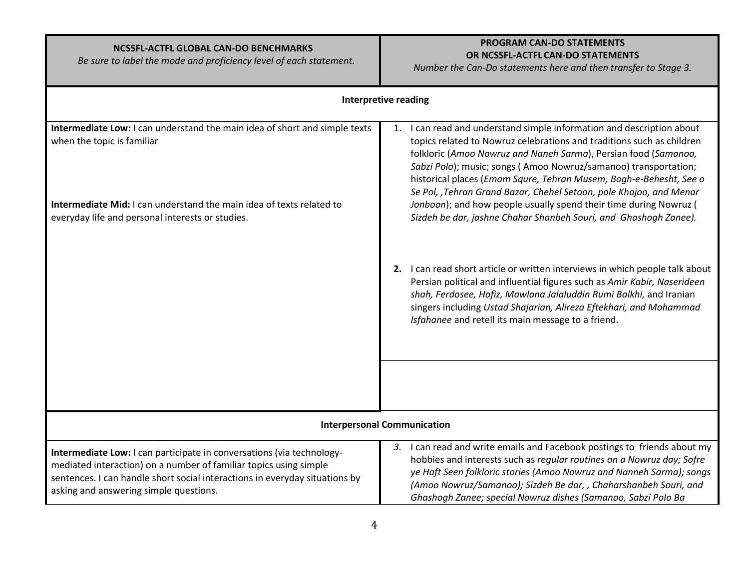| NCSSFL-ACTFL GLOBAL CAN-DO BENCHMARKS<br>Be sure to label the mode and proficiency level of each statement.                                                                                                                                                         | <b>PROGRAM CAN-DO STATEMENTS</b><br>OR NCSSFL-ACTFL CAN-DO STATEMENTS<br>Number the Can-Do statements here and then transfer to Stage 3.                                                                                                                                                                                                                                                                                             |  |  |
|---------------------------------------------------------------------------------------------------------------------------------------------------------------------------------------------------------------------------------------------------------------------|--------------------------------------------------------------------------------------------------------------------------------------------------------------------------------------------------------------------------------------------------------------------------------------------------------------------------------------------------------------------------------------------------------------------------------------|--|--|
|                                                                                                                                                                                                                                                                     | <b>Interpretive reading</b>                                                                                                                                                                                                                                                                                                                                                                                                          |  |  |
| Intermediate Low: I can understand the main idea of short and simple texts<br>when the topic is familiar                                                                                                                                                            | I can read and understand simple information and description about<br>1.<br>topics related to Nowruz celebrations and traditions such as children<br>folkloric (Amoo Nowruz and Naneh Sarma), Persian food (Samanoo,<br>Sabzi Polo); music; songs (Amoo Nowruz/samanoo) transportation;<br>historical places (Emam Squre, Tehran Musem, Bagh-e-Behesht, See o<br>Se Pol, , Tehran Grand Bazar, Chehel Setoon, pole Khajoo, and Menar |  |  |
| Intermediate Mid: I can understand the main idea of texts related to<br>everyday life and personal interests or studies.                                                                                                                                            | Jonboon); and how people usually spend their time during Nowruz (<br>Sizdeh be dar, jashne Chahar Shanbeh Souri, and Ghashogh Zanee).                                                                                                                                                                                                                                                                                                |  |  |
|                                                                                                                                                                                                                                                                     | 2. I can read short article or written interviews in which people talk about<br>Persian political and influential figures such as Amir Kabir, Naserideen<br>shah, Ferdosee, Hafiz, Mawlana Jalaluddin Rumi Balkhi, and Iranian<br>singers including Ustad Shajarian, Alireza Eftekhari, and Mohammad<br>Isfahanee and retell its main message to a friend.                                                                           |  |  |
|                                                                                                                                                                                                                                                                     |                                                                                                                                                                                                                                                                                                                                                                                                                                      |  |  |
| <b>Interpersonal Communication</b>                                                                                                                                                                                                                                  |                                                                                                                                                                                                                                                                                                                                                                                                                                      |  |  |
| Intermediate Low: I can participate in conversations (via technology-<br>mediated interaction) on a number of familiar topics using simple<br>sentences. I can handle short social interactions in everyday situations by<br>asking and answering simple questions. | I can read and write emails and Facebook postings to friends about my<br>3.<br>hobbies and interests such as regular routines on a Nowruz day; Sofre<br>ye Haft Seen folkloric stories (Amoo Nowruz and Nanneh Sarma); songs<br>(Amoo Nowruz/Samanoo); Sizdeh Be dar, , Chaharshanbeh Souri, and<br>Ghashogh Zanee; special Nowruz dishes (Samanoo, Sabzi Polo Ba                                                                    |  |  |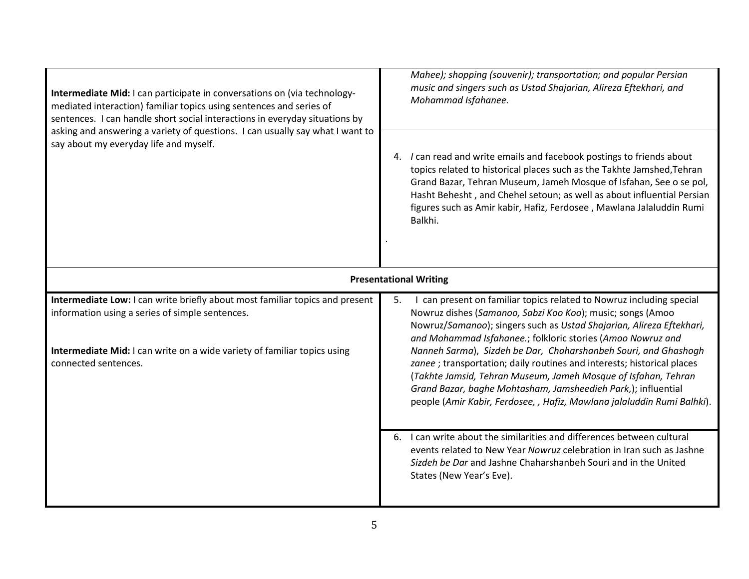| Intermediate Mid: I can participate in conversations on (via technology-<br>mediated interaction) familiar topics using sentences and series of<br>sentences. I can handle short social interactions in everyday situations by<br>asking and answering a variety of questions. I can usually say what I want to<br>say about my everyday life and myself. | Mahee); shopping (souvenir); transportation; and popular Persian<br>music and singers such as Ustad Shajarian, Alireza Eftekhari, and<br>Mohammad Isfahanee.                                                                                                                                                                                                                                                                                                                                                                                                     |  |  |
|-----------------------------------------------------------------------------------------------------------------------------------------------------------------------------------------------------------------------------------------------------------------------------------------------------------------------------------------------------------|------------------------------------------------------------------------------------------------------------------------------------------------------------------------------------------------------------------------------------------------------------------------------------------------------------------------------------------------------------------------------------------------------------------------------------------------------------------------------------------------------------------------------------------------------------------|--|--|
|                                                                                                                                                                                                                                                                                                                                                           | 4. I can read and write emails and facebook postings to friends about<br>topics related to historical places such as the Takhte Jamshed, Tehran<br>Grand Bazar, Tehran Museum, Jameh Mosque of Isfahan, See o se pol,<br>Hasht Behesht, and Chehel setoun; as well as about influential Persian<br>figures such as Amir kabir, Hafiz, Ferdosee, Mawlana Jalaluddin Rumi<br>Balkhi.                                                                                                                                                                               |  |  |
|                                                                                                                                                                                                                                                                                                                                                           | <b>Presentational Writing</b>                                                                                                                                                                                                                                                                                                                                                                                                                                                                                                                                    |  |  |
| Intermediate Low: I can write briefly about most familiar topics and present<br>information using a series of simple sentences.<br>Intermediate Mid: I can write on a wide variety of familiar topics using<br>connected sentences.                                                                                                                       | I can present on familiar topics related to Nowruz including special<br>5.<br>Nowruz dishes (Samanoo, Sabzi Koo Koo); music; songs (Amoo<br>Nowruz/Samanoo); singers such as Ustad Shajarian, Alireza Eftekhari,<br>and Mohammad Isfahanee.; folkloric stories (Amoo Nowruz and<br>Nanneh Sarma), Sizdeh be Dar, Chaharshanbeh Souri, and Ghashogh<br>zanee ; transportation; daily routines and interests; historical places<br>(Takhte Jamsid, Tehran Museum, Jameh Mosque of Isfahan, Tehran<br>Grand Bazar, baghe Mohtasham, Jamsheedieh Park,); influential |  |  |
|                                                                                                                                                                                                                                                                                                                                                           | people (Amir Kabir, Ferdosee, , Hafiz, Mawlana jalaluddin Rumi Balhki).                                                                                                                                                                                                                                                                                                                                                                                                                                                                                          |  |  |
|                                                                                                                                                                                                                                                                                                                                                           | 6. I can write about the similarities and differences between cultural<br>events related to New Year Nowruz celebration in Iran such as Jashne<br>Sizdeh be Dar and Jashne Chaharshanbeh Souri and in the United<br>States (New Year's Eve).                                                                                                                                                                                                                                                                                                                     |  |  |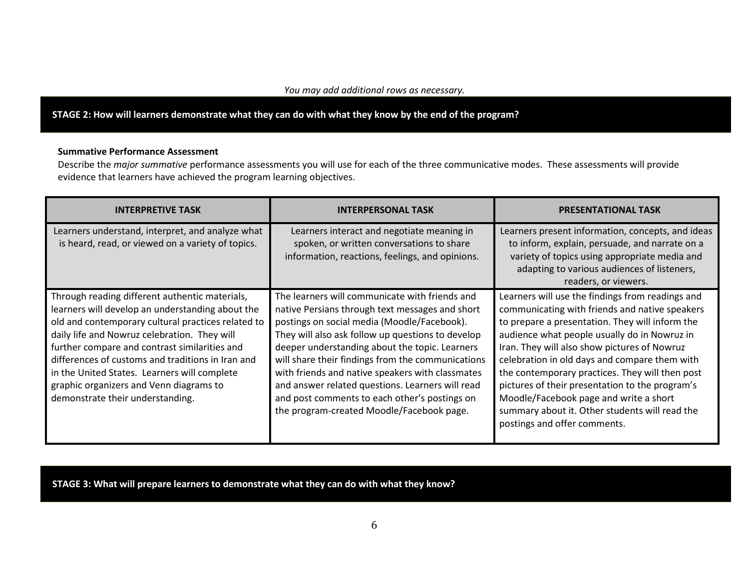STAGE 2: How will learners demonstrate what they can do with what they know by the end of the program?

#### Summative Performance Assessment

Describe the *major summative* performance assessments you will use for each of the three communicative modes. These assessments will provide evidence that learners have achieved the program learning objectives.

| <b>INTERPRETIVE TASK</b>                                                                                                                                                                                                                                                                                                                                                                                                                      | <b>INTERPERSONAL TASK</b>                                                                                                                                                                                                                                                                                                                                                                                                                                                                                          | <b>PRESENTATIONAL TASK</b>                                                                                                                                                                                                                                                                                                                                                                                                                                                                                                               |
|-----------------------------------------------------------------------------------------------------------------------------------------------------------------------------------------------------------------------------------------------------------------------------------------------------------------------------------------------------------------------------------------------------------------------------------------------|--------------------------------------------------------------------------------------------------------------------------------------------------------------------------------------------------------------------------------------------------------------------------------------------------------------------------------------------------------------------------------------------------------------------------------------------------------------------------------------------------------------------|------------------------------------------------------------------------------------------------------------------------------------------------------------------------------------------------------------------------------------------------------------------------------------------------------------------------------------------------------------------------------------------------------------------------------------------------------------------------------------------------------------------------------------------|
| Learners understand, interpret, and analyze what<br>is heard, read, or viewed on a variety of topics.                                                                                                                                                                                                                                                                                                                                         | Learners interact and negotiate meaning in<br>spoken, or written conversations to share<br>information, reactions, feelings, and opinions.                                                                                                                                                                                                                                                                                                                                                                         | Learners present information, concepts, and ideas<br>to inform, explain, persuade, and narrate on a<br>variety of topics using appropriate media and<br>adapting to various audiences of listeners,<br>readers, or viewers.                                                                                                                                                                                                                                                                                                              |
| Through reading different authentic materials,<br>learners will develop an understanding about the<br>old and contemporary cultural practices related to<br>daily life and Nowruz celebration. They will<br>further compare and contrast similarities and<br>differences of customs and traditions in Iran and<br>in the United States. Learners will complete<br>graphic organizers and Venn diagrams to<br>demonstrate their understanding. | The learners will communicate with friends and<br>native Persians through text messages and short<br>postings on social media (Moodle/Facebook).<br>They will also ask follow up questions to develop<br>deeper understanding about the topic. Learners<br>will share their findings from the communications<br>with friends and native speakers with classmates<br>and answer related questions. Learners will read<br>and post comments to each other's postings on<br>the program-created Moodle/Facebook page. | Learners will use the findings from readings and<br>communicating with friends and native speakers<br>to prepare a presentation. They will inform the<br>audience what people usually do in Nowruz in<br>Iran. They will also show pictures of Nowruz<br>celebration in old days and compare them with<br>the contemporary practices. They will then post<br>pictures of their presentation to the program's<br>Moodle/Facebook page and write a short<br>summary about it. Other students will read the<br>postings and offer comments. |

STAGE 3: What will prepare learners to demonstrate what they can do with what they know?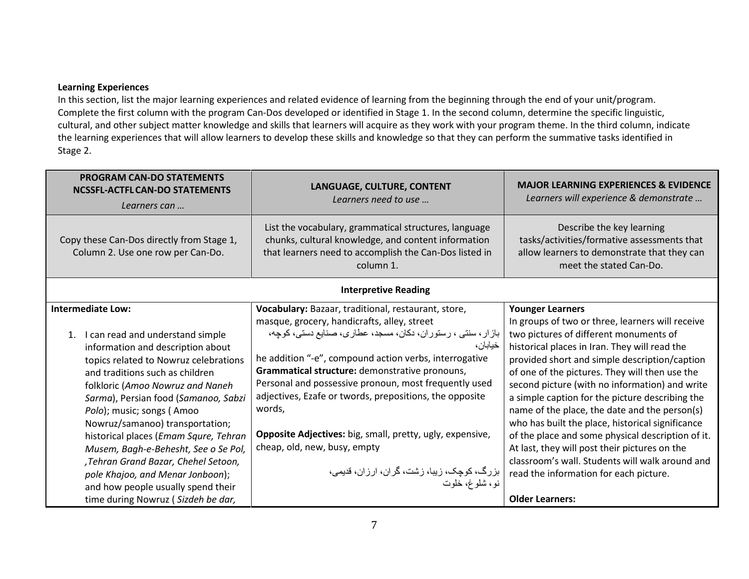#### Learning Experiences

 In this section, list the major learning experiences and related evidence of learning from the beginning through the end of your unit/program. Complete the first column with the program Can-Dos developed or identified in Stage 1. In the second column, determine the specific linguistic, cultural, and other subject matter knowledge and skills that learners will acquire as they work with your program theme. In the third column, indicate the learning experiences that will allow learners to develop these skills and knowledge so that they can perform the summative tasks identified in Stage 2.

| <b>PROGRAM CAN-DO STATEMENTS</b><br><b>NCSSFL-ACTFL CAN-DO STATEMENTS</b><br>Learners can                                                                                                                                                                                                                                                                                                                                                                                                                                                                            | LANGUAGE, CULTURE, CONTENT<br>Learners need to use                                                                                                                                                                                                                                                                                                                                                                                                                                                                                                                                    | <b>MAJOR LEARNING EXPERIENCES &amp; EVIDENCE</b><br>Learners will experience & demonstrate                                                                                                                                                                                                                                                                                                                                                                                                                                                                                                                                                                                                                       |
|----------------------------------------------------------------------------------------------------------------------------------------------------------------------------------------------------------------------------------------------------------------------------------------------------------------------------------------------------------------------------------------------------------------------------------------------------------------------------------------------------------------------------------------------------------------------|---------------------------------------------------------------------------------------------------------------------------------------------------------------------------------------------------------------------------------------------------------------------------------------------------------------------------------------------------------------------------------------------------------------------------------------------------------------------------------------------------------------------------------------------------------------------------------------|------------------------------------------------------------------------------------------------------------------------------------------------------------------------------------------------------------------------------------------------------------------------------------------------------------------------------------------------------------------------------------------------------------------------------------------------------------------------------------------------------------------------------------------------------------------------------------------------------------------------------------------------------------------------------------------------------------------|
| Copy these Can-Dos directly from Stage 1,<br>Column 2. Use one row per Can-Do.                                                                                                                                                                                                                                                                                                                                                                                                                                                                                       | List the vocabulary, grammatical structures, language<br>chunks, cultural knowledge, and content information<br>that learners need to accomplish the Can-Dos listed in<br>column 1.                                                                                                                                                                                                                                                                                                                                                                                                   | Describe the key learning<br>tasks/activities/formative assessments that<br>allow learners to demonstrate that they can<br>meet the stated Can-Do.                                                                                                                                                                                                                                                                                                                                                                                                                                                                                                                                                               |
| <b>Interpretive Reading</b>                                                                                                                                                                                                                                                                                                                                                                                                                                                                                                                                          |                                                                                                                                                                                                                                                                                                                                                                                                                                                                                                                                                                                       |                                                                                                                                                                                                                                                                                                                                                                                                                                                                                                                                                                                                                                                                                                                  |
| <b>Intermediate Low:</b><br>1. I can read and understand simple<br>information and description about<br>topics related to Nowruz celebrations<br>and traditions such as children<br>folkloric (Amoo Nowruz and Naneh<br>Sarma), Persian food (Samanoo, Sabzi<br>Polo); music; songs (Amoo<br>Nowruz/samanoo) transportation;<br>historical places (Emam Squre, Tehran<br>Musem, Bagh-e-Behesht, See o Se Pol,<br>,Tehran Grand Bazar, Chehel Setoon,<br>pole Khajoo, and Menar Jonboon);<br>and how people usually spend their<br>time during Nowruz (Sizdeh be dar, | Vocabulary: Bazaar, traditional, restaurant, store,<br>masque, grocery, handicrafts, alley, street<br>بازار، سنتی ، رستوران، دکان، مسجد، عطاری، صنایع دستی، کوچه،<br>خيابان،<br>he addition "-e", compound action verbs, interrogative<br>Grammatical structure: demonstrative pronouns,<br>Personal and possessive pronoun, most frequently used<br>adjectives, Ezafe or twords, prepositions, the opposite<br>words,<br>Opposite Adjectives: big, small, pretty, ugly, expensive,<br>cheap, old, new, busy, empty<br>بزرگ، كوچک، زيبا، زشت، گران، ارزان، قديمي،<br>نو ، شلو غ، خلوت | <b>Younger Learners</b><br>In groups of two or three, learners will receive<br>two pictures of different monuments of<br>historical places in Iran. They will read the<br>provided short and simple description/caption<br>of one of the pictures. They will then use the<br>second picture (with no information) and write<br>a simple caption for the picture describing the<br>name of the place, the date and the person(s)<br>who has built the place, historical significance<br>of the place and some physical description of it.<br>At last, they will post their pictures on the<br>classroom's wall. Students will walk around and<br>read the information for each picture.<br><b>Older Learners:</b> |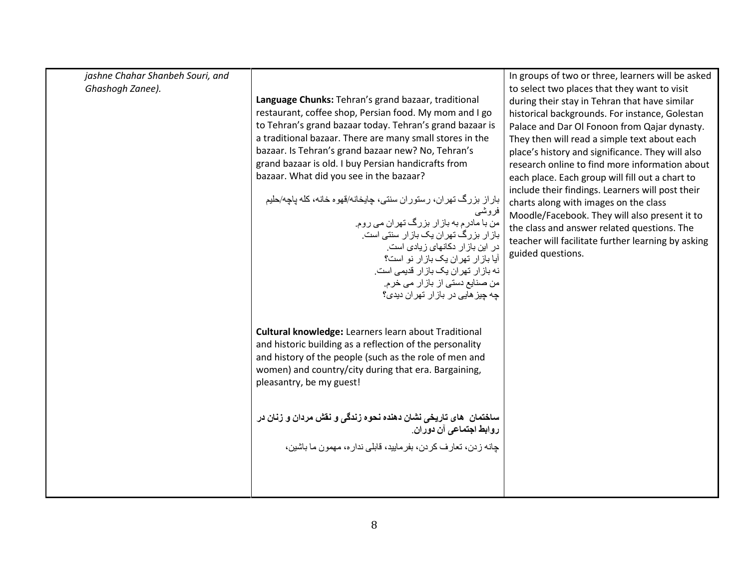| jashne Chahar Shanbeh Souri, and<br>Ghashogh Zanee). | Language Chunks: Tehran's grand bazaar, traditional<br>restaurant, coffee shop, Persian food. My mom and I go<br>to Tehran's grand bazaar today. Tehran's grand bazaar is<br>a traditional bazaar. There are many small stores in the<br>bazaar. Is Tehran's grand bazaar new? No, Tehran's<br>grand bazaar is old. I buy Persian handicrafts from<br>bazaar. What did you see in the bazaar?<br>باراز بزرگ تهران، رستوران سنتي، چايخانه/قهوه خانه، كله پاچه/حليم<br>فروشى<br>من با مادر م به باز ار بزرگ تهر ان می روم.<br>باز ار بزرگ تهران یک بازار سنتی است.<br>در این باز ار دکانهای زیادی است.<br>آیا باز ار تهران یک باز ار نو است؟<br>نه بازار تهران یک بازار قدیمی است.<br>من صنایع دستی از بازار می خرم.<br>چه چیز هایی در بازار تهران دیدی؟ | In groups of two or three, learners will be asked<br>to select two places that they want to visit<br>during their stay in Tehran that have similar<br>historical backgrounds. For instance, Golestan<br>Palace and Dar Ol Fonoon from Qajar dynasty.<br>They then will read a simple text about each<br>place's history and significance. They will also<br>research online to find more information about<br>each place. Each group will fill out a chart to<br>include their findings. Learners will post their<br>charts along with images on the class<br>Moodle/Facebook. They will also present it to<br>the class and answer related questions. The<br>teacher will facilitate further learning by asking<br>guided questions. |
|------------------------------------------------------|--------------------------------------------------------------------------------------------------------------------------------------------------------------------------------------------------------------------------------------------------------------------------------------------------------------------------------------------------------------------------------------------------------------------------------------------------------------------------------------------------------------------------------------------------------------------------------------------------------------------------------------------------------------------------------------------------------------------------------------------------------|---------------------------------------------------------------------------------------------------------------------------------------------------------------------------------------------------------------------------------------------------------------------------------------------------------------------------------------------------------------------------------------------------------------------------------------------------------------------------------------------------------------------------------------------------------------------------------------------------------------------------------------------------------------------------------------------------------------------------------------|
|                                                      | Cultural knowledge: Learners learn about Traditional<br>and historic building as a reflection of the personality<br>and history of the people (such as the role of men and<br>women) and country/city during that era. Bargaining,<br>pleasantry, be my guest!<br>ساختمان   های تاریخی نشان دهنده نحوه زندگی و نقش مردان و زنان در<br>روا <b>بط اجتماع</b> ی آن دوران.<br>جانه ز دن، تعار ف كر دن، بفر ماييد، قابلي ندار ه، مهمون ما باشين،                                                                                                                                                                                                                                                                                                            |                                                                                                                                                                                                                                                                                                                                                                                                                                                                                                                                                                                                                                                                                                                                       |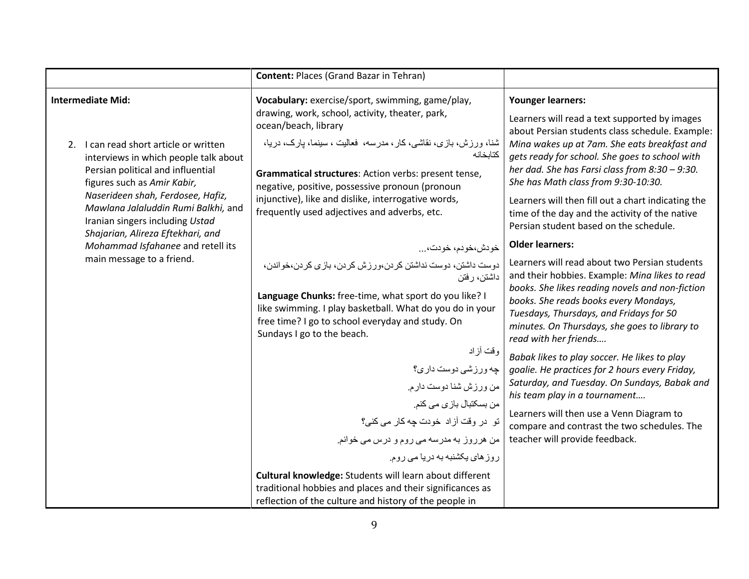|                                                                                                                                                                                                                                                                                                | <b>Content: Places (Grand Bazar in Tehran)</b>                                                                                                                                                                                                                                                                                                                                                                                |                                                                                                                                                                                                                                                                                                                                                                                                                                                                           |
|------------------------------------------------------------------------------------------------------------------------------------------------------------------------------------------------------------------------------------------------------------------------------------------------|-------------------------------------------------------------------------------------------------------------------------------------------------------------------------------------------------------------------------------------------------------------------------------------------------------------------------------------------------------------------------------------------------------------------------------|---------------------------------------------------------------------------------------------------------------------------------------------------------------------------------------------------------------------------------------------------------------------------------------------------------------------------------------------------------------------------------------------------------------------------------------------------------------------------|
| <b>Intermediate Mid:</b><br>2. I can read short article or written<br>interviews in which people talk about<br>Persian political and influential<br>figures such as Amir Kabir,<br>Naserideen shah, Ferdosee, Hafiz,<br>Mawlana Jalaluddin Rumi Balkhi, and<br>Iranian singers including Ustad | Vocabulary: exercise/sport, swimming, game/play,<br>drawing, work, school, activity, theater, park,<br>ocean/beach, library<br>شنا، ورزش، بازی، نقاشی، کار ، مدرسه، فعالیت ، سینما، بارک، دریا،<br>كتابخانه<br>Grammatical structures: Action verbs: present tense,<br>negative, positive, possessive pronoun (pronoun<br>injunctive), like and dislike, interrogative words,<br>frequently used adjectives and adverbs, etc. | <b>Younger learners:</b><br>Learners will read a text supported by images<br>about Persian students class schedule. Example:<br>Mina wakes up at 7am. She eats breakfast and<br>gets ready for school. She goes to school with<br>her dad. She has Farsi class from 8:30 - 9:30.<br>She has Math class from 9:30-10:30.<br>Learners will then fill out a chart indicating the<br>time of the day and the activity of the native<br>Persian student based on the schedule. |
| Shajarian, Alireza Eftekhari, and<br>Mohammad Isfahanee and retell its<br>main message to a friend.                                                                                                                                                                                            | خودش،خودم، خودت،<br>دوست داشتن، دوست نداشتن کردن،ورزش کردن، بازی کردن،خواندن،<br>داشتن، رفتن<br>Language Chunks: free-time, what sport do you like? I<br>like swimming. I play basketball. What do you do in your<br>free time? I go to school everyday and study. On<br>Sundays I go to the beach.<br>وقت أزاد                                                                                                               | <b>Older learners:</b><br>Learners will read about two Persian students<br>and their hobbies. Example: Mina likes to read<br>books. She likes reading novels and non-fiction<br>books. She reads books every Mondays,<br>Tuesdays, Thursdays, and Fridays for 50<br>minutes. On Thursdays, she goes to library to<br>read with her friends<br>Babak likes to play soccer. He likes to play                                                                                |
|                                                                                                                                                                                                                                                                                                | چه ورزشي دوست داري؟<br>من ورزش شنا دوست دارم.<br>من بسكتبال بازي مي كنم.<br>تو در وقت آزاد خودت چه كار مى كنى؟<br>من هرروز به مدرسه می روم و درس می خوانم.<br>روز های پکشنبه به دریا می روم.<br>Cultural knowledge: Students will learn about different<br>traditional hobbies and places and their significances as<br>reflection of the culture and history of the people in                                                | goalie. He practices for 2 hours every Friday,<br>Saturday, and Tuesday. On Sundays, Babak and<br>his team play in a tournament<br>Learners will then use a Venn Diagram to<br>compare and contrast the two schedules. The<br>teacher will provide feedback.                                                                                                                                                                                                              |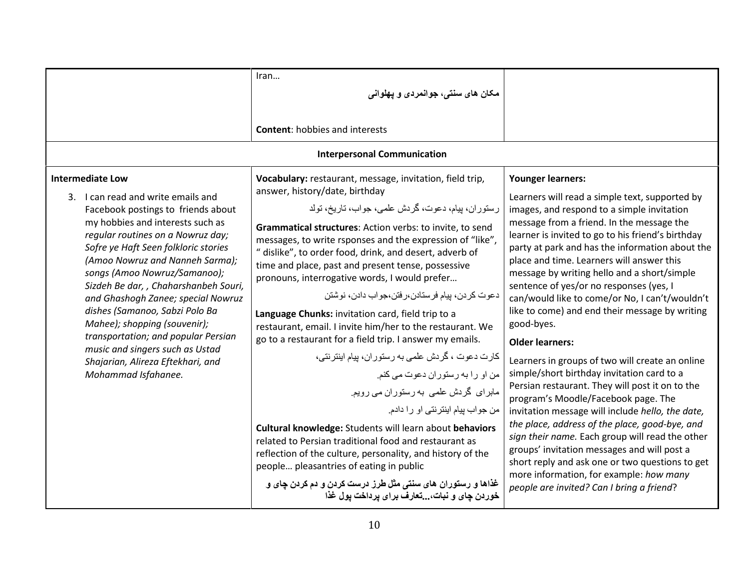|                                                                                                                                                                                                                                                                                                                                                                                                                                                                                                                                                                                | Iran<br>مکان های سنتی، جوانمردی و یهلوانی<br><b>Content: hobbies and interests</b>                                                                                                                                                                                                                                                                                                                                                                                                                                                                                                                                                                                                                                                                                                                                                                                                                                                                                                                                                                                                                                                                                                        |                                                                                                                                                                                                                                                                                                                                                                                                                                                                                                                                                                                                                                                                                                                                                                                                                                                                                                                                                                                                                                                                                                                |
|--------------------------------------------------------------------------------------------------------------------------------------------------------------------------------------------------------------------------------------------------------------------------------------------------------------------------------------------------------------------------------------------------------------------------------------------------------------------------------------------------------------------------------------------------------------------------------|-------------------------------------------------------------------------------------------------------------------------------------------------------------------------------------------------------------------------------------------------------------------------------------------------------------------------------------------------------------------------------------------------------------------------------------------------------------------------------------------------------------------------------------------------------------------------------------------------------------------------------------------------------------------------------------------------------------------------------------------------------------------------------------------------------------------------------------------------------------------------------------------------------------------------------------------------------------------------------------------------------------------------------------------------------------------------------------------------------------------------------------------------------------------------------------------|----------------------------------------------------------------------------------------------------------------------------------------------------------------------------------------------------------------------------------------------------------------------------------------------------------------------------------------------------------------------------------------------------------------------------------------------------------------------------------------------------------------------------------------------------------------------------------------------------------------------------------------------------------------------------------------------------------------------------------------------------------------------------------------------------------------------------------------------------------------------------------------------------------------------------------------------------------------------------------------------------------------------------------------------------------------------------------------------------------------|
|                                                                                                                                                                                                                                                                                                                                                                                                                                                                                                                                                                                | <b>Interpersonal Communication</b>                                                                                                                                                                                                                                                                                                                                                                                                                                                                                                                                                                                                                                                                                                                                                                                                                                                                                                                                                                                                                                                                                                                                                        |                                                                                                                                                                                                                                                                                                                                                                                                                                                                                                                                                                                                                                                                                                                                                                                                                                                                                                                                                                                                                                                                                                                |
| <b>Intermediate Low</b><br>3. I can read and write emails and<br>Facebook postings to friends about<br>my hobbies and interests such as<br>regular routines on a Nowruz day;<br>Sofre ye Haft Seen folkloric stories<br>(Amoo Nowruz and Nanneh Sarma);<br>songs (Amoo Nowruz/Samanoo);<br>Sizdeh Be dar, , Chaharshanbeh Souri,<br>and Ghashogh Zanee; special Nowruz<br>dishes (Samanoo, Sabzi Polo Ba<br>Mahee); shopping (souvenir);<br>transportation; and popular Persian<br>music and singers such as Ustad<br>Shajarian, Alireza Eftekhari, and<br>Mohammad Isfahanee. | Vocabulary: restaurant, message, invitation, field trip,<br>answer, history/date, birthday<br>رستوران، بيام، دعوت، گردش علمي، جواب، تاريخ، تولد<br>Grammatical structures: Action verbs: to invite, to send<br>messages, to write rsponses and the expression of "like",<br>" dislike", to order food, drink, and desert, adverb of<br>time and place, past and present tense, possessive<br>pronouns, interrogative words, I would prefer<br>دعوت كردن، بيام فرستادن،ر فتن،جواب دادن، نوشتن<br>Language Chunks: invitation card, field trip to a<br>restaurant, email. I invite him/her to the restaurant. We<br>go to a restaurant for a field trip. I answer my emails.<br>كارت دعوت ، گردش علمى به رستوران، بيام اينترنتى،<br>من او را به رستوران دعوت می کنم.<br>ماہرای گردش علمی به رستوران می رویم.<br>من جواب بيام اينترنتي او را دادم.<br>Cultural knowledge: Students will learn about behaviors<br>related to Persian traditional food and restaurant as<br>reflection of the culture, personality, and history of the<br>people pleasantries of eating in public<br>غذاها و رستوران های سنتی مثل طرز درست کردن و دم کردن چای و<br>خوردن چای و نبات، تعارف برای برداخت بول غذا | <b>Younger learners:</b><br>Learners will read a simple text, supported by<br>images, and respond to a simple invitation<br>message from a friend. In the message the<br>learner is invited to go to his friend's birthday<br>party at park and has the information about the<br>place and time. Learners will answer this<br>message by writing hello and a short/simple<br>sentence of yes/or no responses (yes, I<br>can/would like to come/or No, I can't/wouldn't<br>like to come) and end their message by writing<br>good-byes.<br><b>Older learners:</b><br>Learners in groups of two will create an online<br>simple/short birthday invitation card to a<br>Persian restaurant. They will post it on to the<br>program's Moodle/Facebook page. The<br>invitation message will include hello, the date,<br>the place, address of the place, good-bye, and<br>sign their name. Each group will read the other<br>groups' invitation messages and will post a<br>short reply and ask one or two questions to get<br>more information, for example: how many<br>people are invited? Can I bring a friend? |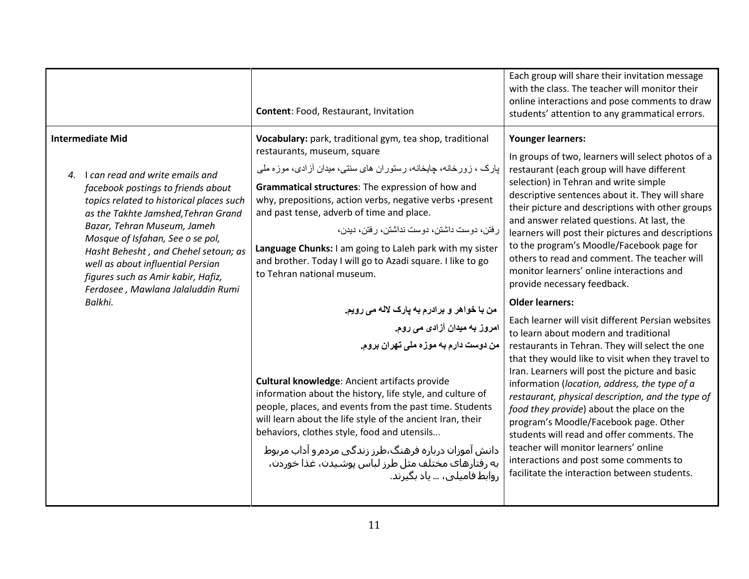| <b>Intermediate Mid</b><br>Vocabulary: park, traditional gym, tea shop, traditional<br><b>Younger learners:</b><br>restaurants, museum, square<br>In groups of two, learners will select photos of a<br>یارک ، زورخانه، جایخانه، رستوران های سنتی، میدان آزادی، موزه ملی<br>restaurant (each group will have different<br>4. I can read and write emails and<br>selection) in Tehran and write simple<br>Grammatical structures: The expression of how and<br>facebook postings to friends about<br>descriptive sentences about it. They will share<br>why, prepositions, action verbs, negative verbs · present<br>topics related to historical places such<br>their picture and descriptions with other groups<br>and past tense, adverb of time and place.<br>as the Takhte Jamshed, Tehran Grand<br>and answer related questions. At last, the<br>Bazar, Tehran Museum, Jameh<br>ر فتن، دو ست داشتن، دو ست نداشتن، ر فتن، دیدن،<br>learners will post their pictures and descriptions<br>Mosque of Isfahan, See o se pol,<br>to the program's Moodle/Facebook page for<br>Language Chunks: I am going to Laleh park with my sister<br>Hasht Behesht, and Chehel setoun; as<br>others to read and comment. The teacher will<br>and brother. Today I will go to Azadi square. I like to go<br>well as about influential Persian<br>monitor learners' online interactions and<br>to Tehran national museum.<br>figures such as Amir kabir, Hafiz,<br>provide necessary feedback.<br>Ferdosee, Mawlana Jalaluddin Rumi<br>Balkhi.<br><b>Older learners:</b><br>من با خواهر و برادرم به پارک لاله می رویم.<br>Each learner will visit different Persian websites<br>امروز به میدان آزادی م <i>ی</i> روم.<br>to learn about modern and traditional<br>من دوست دارم به موزه ملی تهران بروم.<br>restaurants in Tehran. They will select the one<br>that they would like to visit when they travel to<br>Iran. Learners will post the picture and basic<br><b>Cultural knowledge: Ancient artifacts provide</b><br>information (location, address, the type of a<br>information about the history, life style, and culture of<br>restaurant, physical description, and the type of<br>people, places, and events from the past time. Students<br>food they provide) about the place on the<br>will learn about the life style of the ancient Iran, their<br>program's Moodle/Facebook page. Other<br>behaviors, clothes style, food and utensils<br>students will read and offer comments. The<br>teacher will monitor learners' online<br>دانش آموزان درباره فرهنگ،طرز زندگی مردم و آداب مربوط<br>interactions and post some comments to<br>به رفتارهای مختلف مثل طرز لباس پوشیدن، غذا خوردن،<br>facilitate the interaction between students.<br>روابط فامیلی، … یاد یگیرند. | Content: Food, Restaurant, Invitation | Each group will share their invitation message<br>with the class. The teacher will monitor their<br>online interactions and pose comments to draw<br>students' attention to any grammatical errors. |
|--------------------------------------------------------------------------------------------------------------------------------------------------------------------------------------------------------------------------------------------------------------------------------------------------------------------------------------------------------------------------------------------------------------------------------------------------------------------------------------------------------------------------------------------------------------------------------------------------------------------------------------------------------------------------------------------------------------------------------------------------------------------------------------------------------------------------------------------------------------------------------------------------------------------------------------------------------------------------------------------------------------------------------------------------------------------------------------------------------------------------------------------------------------------------------------------------------------------------------------------------------------------------------------------------------------------------------------------------------------------------------------------------------------------------------------------------------------------------------------------------------------------------------------------------------------------------------------------------------------------------------------------------------------------------------------------------------------------------------------------------------------------------------------------------------------------------------------------------------------------------------------------------------------------------------------------------------------------------------------------------------------------------------------------------------------------------------------------------------------------------------------------------------------------------------------------------------------------------------------------------------------------------------------------------------------------------------------------------------------------------------------------------------------------------------------------------------------------------------------------------------------------------------------------------------------------------------------------------------------------------------------------------------------------------------------------------------------------------------------------------------------------------|---------------------------------------|-----------------------------------------------------------------------------------------------------------------------------------------------------------------------------------------------------|
|                                                                                                                                                                                                                                                                                                                                                                                                                                                                                                                                                                                                                                                                                                                                                                                                                                                                                                                                                                                                                                                                                                                                                                                                                                                                                                                                                                                                                                                                                                                                                                                                                                                                                                                                                                                                                                                                                                                                                                                                                                                                                                                                                                                                                                                                                                                                                                                                                                                                                                                                                                                                                                                                                                                                                                          |                                       |                                                                                                                                                                                                     |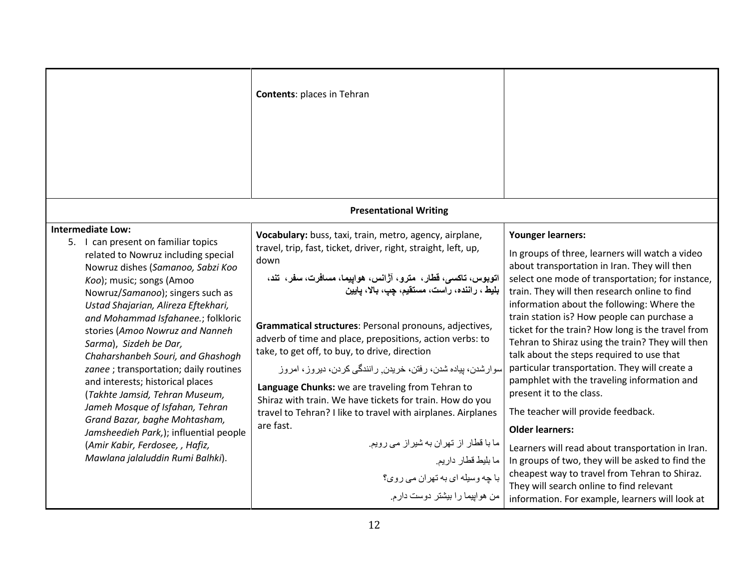|                                                                                                                                                                                                                                                                                                                                                                                                                                                                                                                                               | <b>Contents: places in Tehran</b>                                                                                                                                                                                                                                                                                                                                                                                                                                                                                                                                                                                                                                           |                                                                                                                                                                                                                                                                                                                                                                                                                                                                                                                                                                                                                                                       |
|-----------------------------------------------------------------------------------------------------------------------------------------------------------------------------------------------------------------------------------------------------------------------------------------------------------------------------------------------------------------------------------------------------------------------------------------------------------------------------------------------------------------------------------------------|-----------------------------------------------------------------------------------------------------------------------------------------------------------------------------------------------------------------------------------------------------------------------------------------------------------------------------------------------------------------------------------------------------------------------------------------------------------------------------------------------------------------------------------------------------------------------------------------------------------------------------------------------------------------------------|-------------------------------------------------------------------------------------------------------------------------------------------------------------------------------------------------------------------------------------------------------------------------------------------------------------------------------------------------------------------------------------------------------------------------------------------------------------------------------------------------------------------------------------------------------------------------------------------------------------------------------------------------------|
|                                                                                                                                                                                                                                                                                                                                                                                                                                                                                                                                               |                                                                                                                                                                                                                                                                                                                                                                                                                                                                                                                                                                                                                                                                             |                                                                                                                                                                                                                                                                                                                                                                                                                                                                                                                                                                                                                                                       |
|                                                                                                                                                                                                                                                                                                                                                                                                                                                                                                                                               | <b>Presentational Writing</b>                                                                                                                                                                                                                                                                                                                                                                                                                                                                                                                                                                                                                                               |                                                                                                                                                                                                                                                                                                                                                                                                                                                                                                                                                                                                                                                       |
| <b>Intermediate Low:</b><br>5. I can present on familiar topics<br>related to Nowruz including special<br>Nowruz dishes (Samanoo, Sabzi Koo<br>Koo); music; songs (Amoo<br>Nowruz/Samanoo); singers such as<br>Ustad Shajarian, Alireza Eftekhari,<br>and Mohammad Isfahanee.; folkloric<br>stories (Amoo Nowruz and Nanneh<br>Sarma), Sizdeh be Dar,<br>Chaharshanbeh Souri, and Ghashogh<br>zanee ; transportation; daily routines<br>and interests; historical places<br>(Takhte Jamsid, Tehran Museum,<br>Jameh Mosque of Isfahan, Tehran | Vocabulary: buss, taxi, train, metro, agency, airplane,<br>travel, trip, fast, ticket, driver, right, straight, left, up,<br>down<br>اتوبوس، تاکسی، قطار،  مترو، آژانس، هواپیما، مسافرت، سفر،  تند،<br>بليط ، راننده، رآست، مستقيم، چپ، بالا، پايين<br>Grammatical structures: Personal pronouns, adjectives,<br>adverb of time and place, prepositions, action verbs: to<br>take, to get off, to buy, to drive, direction<br>سوارشدن، بیاده شدن، رفتن، خریدن ٍ رانندگی کردن، دیروز ، امروز<br>Language Chunks: we are traveling from Tehran to<br>Shiraz with train. We have tickets for train. How do you<br>travel to Tehran? I like to travel with airplanes. Airplanes | <b>Younger learners:</b><br>In groups of three, learners will watch a video<br>about transportation in Iran. They will then<br>select one mode of transportation; for instance,<br>train. They will then research online to find<br>information about the following: Where the<br>train station is? How people can purchase a<br>ticket for the train? How long is the travel from<br>Tehran to Shiraz using the train? They will then<br>talk about the steps required to use that<br>particular transportation. They will create a<br>pamphlet with the traveling information and<br>present it to the class.<br>The teacher will provide feedback. |
| Grand Bazar, baghe Mohtasham,<br>Jamsheedieh Park,); influential people                                                                                                                                                                                                                                                                                                                                                                                                                                                                       | are fast.                                                                                                                                                                                                                                                                                                                                                                                                                                                                                                                                                                                                                                                                   | <b>Older learners:</b>                                                                                                                                                                                                                                                                                                                                                                                                                                                                                                                                                                                                                                |
| (Amir Kabir, Ferdosee, , Hafiz,<br>Mawlana jalaluddin Rumi Balhki).                                                                                                                                                                                                                                                                                                                                                                                                                                                                           | ما با قطار از تهران به شیراز می رویم.<br>ما بليط قطار داريم.<br>با چه وسیله ای به تهران می روی؟<br>من هواپیما را بیشتر دوست دارم.                                                                                                                                                                                                                                                                                                                                                                                                                                                                                                                                           | Learners will read about transportation in Iran.<br>In groups of two, they will be asked to find the<br>cheapest way to travel from Tehran to Shiraz.<br>They will search online to find relevant<br>information. For example, learners will look at                                                                                                                                                                                                                                                                                                                                                                                                  |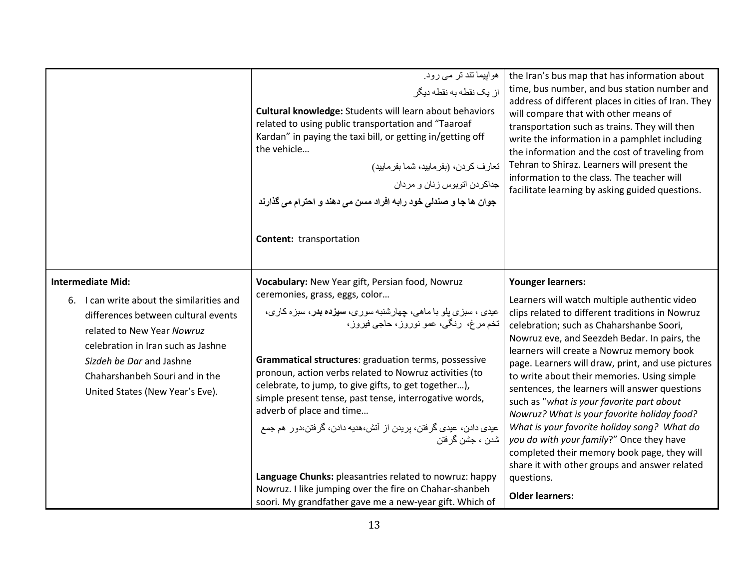|                                                                                                                                                                                                                                                                                   | هواییما تند تر می رود.<br>از یک نقطه به نقطه دیگر<br>Cultural knowledge: Students will learn about behaviors<br>related to using public transportation and "Taaroaf<br>Kardan" in paying the taxi bill, or getting in/getting off<br>the vehicle<br>تعارف كردن، (بفرماييد، شما بفرماييد)<br>جداكردن اتوبوس زنان و مردان<br>جوان ها جا و صندلی خود رابه افراد مسن می دهند و احترام می گذارند<br><b>Content:</b> transportation                                                                                                                                                                                                                                                                                                            | the Iran's bus map that has information about<br>time, bus number, and bus station number and<br>address of different places in cities of Iran. They<br>will compare that with other means of<br>transportation such as trains. They will then<br>write the information in a pamphlet including<br>the information and the cost of traveling from<br>Tehran to Shiraz. Learners will present the<br>information to the class. The teacher will<br>facilitate learning by asking guided questions.                                                                                                                                                                                                                                                        |
|-----------------------------------------------------------------------------------------------------------------------------------------------------------------------------------------------------------------------------------------------------------------------------------|------------------------------------------------------------------------------------------------------------------------------------------------------------------------------------------------------------------------------------------------------------------------------------------------------------------------------------------------------------------------------------------------------------------------------------------------------------------------------------------------------------------------------------------------------------------------------------------------------------------------------------------------------------------------------------------------------------------------------------------|----------------------------------------------------------------------------------------------------------------------------------------------------------------------------------------------------------------------------------------------------------------------------------------------------------------------------------------------------------------------------------------------------------------------------------------------------------------------------------------------------------------------------------------------------------------------------------------------------------------------------------------------------------------------------------------------------------------------------------------------------------|
| <b>Intermediate Mid:</b><br>6. I can write about the similarities and<br>differences between cultural events<br>related to New Year Nowruz<br>celebration in Iran such as Jashne<br>Sizdeh be Dar and Jashne<br>Chaharshanbeh Souri and in the<br>United States (New Year's Eve). | Vocabulary: New Year gift, Persian food, Nowruz<br>ceremonies, grass, eggs, color<br>عيدي ، سبزي بلو با ماهي، چهارشنبه سوري، <b>سيزده بد</b> ر، سبزه كاري،<br>تخم مرغ، رنگي، عمو نوروز، حاجي فيروز،<br>Grammatical structures: graduation terms, possessive<br>pronoun, action verbs related to Nowruz activities (to<br>celebrate, to jump, to give gifts, to get together),<br>simple present tense, past tense, interrogative words,<br>adverb of place and time<br>عیدی دادن، عیدی گرفتن، پریدن از آتش،هدیه دادن، گرفتن،دور هم جمع<br>شدن ، جشن گرفتن<br>Language Chunks: pleasantries related to nowruz: happy<br>Nowruz. I like jumping over the fire on Chahar-shanbeh<br>soori. My grandfather gave me a new-year gift. Which of | <b>Younger learners:</b><br>Learners will watch multiple authentic video<br>clips related to different traditions in Nowruz<br>celebration; such as Chaharshanbe Soori,<br>Nowruz eve, and Seezdeh Bedar. In pairs, the<br>learners will create a Nowruz memory book<br>page. Learners will draw, print, and use pictures<br>to write about their memories. Using simple<br>sentences, the learners will answer questions<br>such as "what is your favorite part about<br>Nowruz? What is your favorite holiday food?<br>What is your favorite holiday song? What do<br>you do with your family?" Once they have<br>completed their memory book page, they will<br>share it with other groups and answer related<br>questions.<br><b>Older learners:</b> |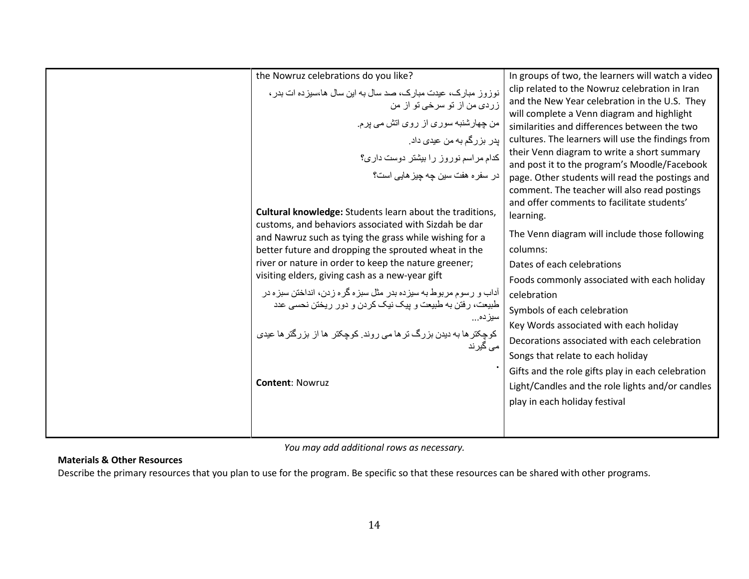| the Nowruz celebrations do you like?<br>نوز وز مبارک، عیدت مبارک، صد سال به این سال ها،سیز ده ات بدر ،<br>زرد <i>ی</i> من از تو سرخی تو از من<br>من چهارشنبه سوري از روي اتش مي پرم<br>پدر بزرگم به من عیدی داد <sub>.</sub><br>کدام مراسم نوروز را بیشتر دوست داری؟<br>در سفر ہ هفت سین چه چیز هایی است؟                                                                                                                                                                                | In groups of two, the learners will watch a video<br>clip related to the Nowruz celebration in Iran<br>and the New Year celebration in the U.S. They<br>will complete a Venn diagram and highlight<br>similarities and differences between the two<br>cultures. The learners will use the findings from<br>their Venn diagram to write a short summary<br>and post it to the program's Moodle/Facebook<br>page. Other students will read the postings and |
|------------------------------------------------------------------------------------------------------------------------------------------------------------------------------------------------------------------------------------------------------------------------------------------------------------------------------------------------------------------------------------------------------------------------------------------------------------------------------------------|-----------------------------------------------------------------------------------------------------------------------------------------------------------------------------------------------------------------------------------------------------------------------------------------------------------------------------------------------------------------------------------------------------------------------------------------------------------|
| and Nawruz such as tying the grass while wishing for a<br>better future and dropping the sprouted wheat in the<br>river or nature in order to keep the nature greener;<br>visiting elders, giving cash as a new-year gift<br>آداب و رسوم مربوط به سیزده بدر مثل سبزه گره زدن، انداختن سبزه در<br>طبیعت، رفتن به طبیعت و پیک نیک کردن و دور ریختن نحسی عدد<br>سيز ده<br>کوچکتر ها به دیدن بزرگ تر ها می روند. کوچکتر  ها از  بزرگتر ها عیدی<br>م <i>ی</i> گیرند<br><b>Content: Nowruz</b> | columns:<br>Dates of each celebrations<br>Foods commonly associated with each holiday<br>celebration<br>Symbols of each celebration<br>Key Words associated with each holiday<br>Decorations associated with each celebration<br>Songs that relate to each holiday<br>Gifts and the role gifts play in each celebration<br>Light/Candles and the role lights and/or candles<br>play in each holiday festival                                              |

You may add additional rows as necessary.

# Materials & Other Resources

Describe the primary resources that you plan to use for the program. Be specific so that these resources can be shared with other programs.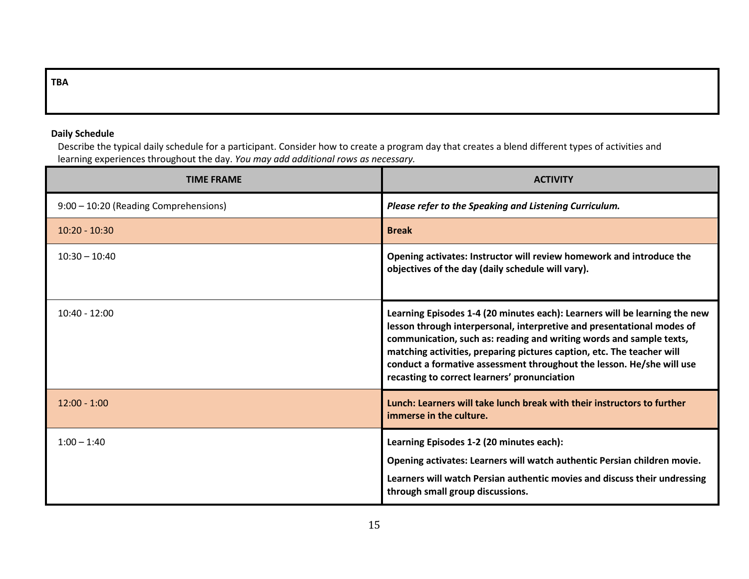## TBA

### Daily Schedule

 Describe the typical daily schedule for a participant. Consider how to create a program day that creates a blend different types of activities and learning experiences throughout the day. You may add additional rows as necessary.

| <b>TIME FRAME</b>                     | <b>ACTIVITY</b>                                                                                                                                                                                                                                                                                                                                                                                                                |
|---------------------------------------|--------------------------------------------------------------------------------------------------------------------------------------------------------------------------------------------------------------------------------------------------------------------------------------------------------------------------------------------------------------------------------------------------------------------------------|
| 9:00 - 10:20 (Reading Comprehensions) | Please refer to the Speaking and Listening Curriculum.                                                                                                                                                                                                                                                                                                                                                                         |
| $10:20 - 10:30$                       | <b>Break</b>                                                                                                                                                                                                                                                                                                                                                                                                                   |
| $10:30 - 10:40$                       | Opening activates: Instructor will review homework and introduce the<br>objectives of the day (daily schedule will vary).                                                                                                                                                                                                                                                                                                      |
| $10:40 - 12:00$                       | Learning Episodes 1-4 (20 minutes each): Learners will be learning the new<br>lesson through interpersonal, interpretive and presentational modes of<br>communication, such as: reading and writing words and sample texts,<br>matching activities, preparing pictures caption, etc. The teacher will<br>conduct a formative assessment throughout the lesson. He/she will use<br>recasting to correct learners' pronunciation |
| $12:00 - 1:00$                        | Lunch: Learners will take lunch break with their instructors to further<br>immerse in the culture.                                                                                                                                                                                                                                                                                                                             |
| $1:00 - 1:40$                         | Learning Episodes 1-2 (20 minutes each):<br>Opening activates: Learners will watch authentic Persian children movie.<br>Learners will watch Persian authentic movies and discuss their undressing<br>through small group discussions.                                                                                                                                                                                          |